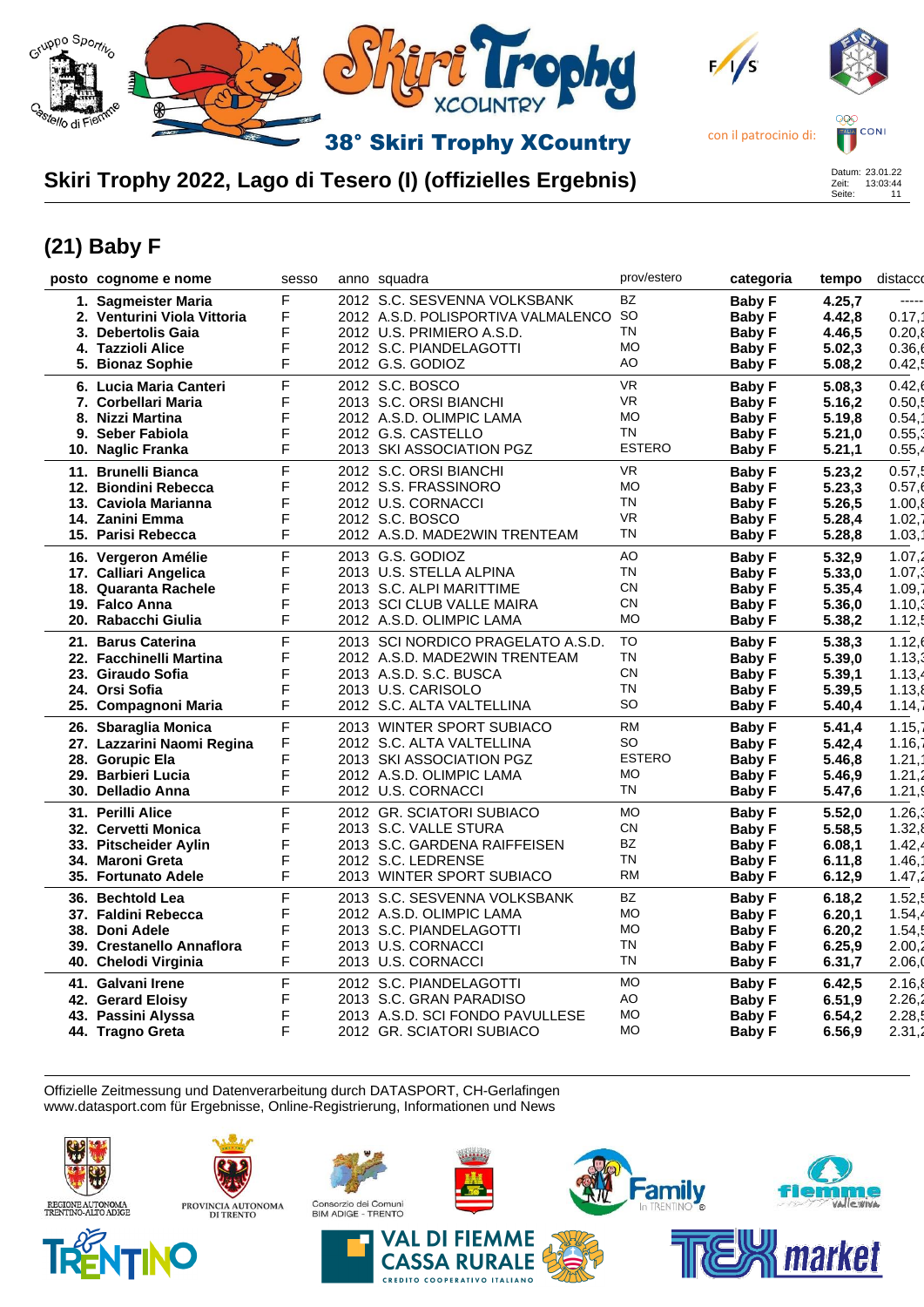

## **Skiri Trophy 2022, Lago di Tesero (I) (offizielles Ergebnis)**



## **(21) Baby F**

| posto cognome e nome        | sesso | anno squadra                        | prov/estero   | categoria     | tempo  | distacco |
|-----------------------------|-------|-------------------------------------|---------------|---------------|--------|----------|
| 1. Sagmeister Maria         | F     | 2012 S.C. SESVENNA VOLKSBANK        | <b>BZ</b>     | <b>Baby F</b> | 4.25,7 | -----    |
| 2. Venturini Viola Vittoria | F     | 2012 A.S.D. POLISPORTIVA VALMALENCO | SO            | <b>Baby F</b> | 4.42,8 | 0.17,7   |
| 3. Debertolis Gaia          | F     | 2012 U.S. PRIMIERO A.S.D.           | TN            | <b>Baby F</b> | 4.46,5 | 0.20,8   |
| 4. Tazzioli Alice           | F     | 2012 S.C. PIANDELAGOTTI             | <b>MO</b>     | <b>Baby F</b> | 5.02,3 | 0.36,6   |
| 5. Bionaz Sophie            | F     | 2012 G.S. GODIOZ                    | AO            | Baby F        | 5.08,2 | 0.42,5   |
|                             |       |                                     |               |               |        |          |
| 6. Lucia Maria Canteri      | F     | 2012 S.C. BOSCO                     | <b>VR</b>     | <b>Baby F</b> | 5.08,3 | 0.42,6   |
| 7. Corbellari Maria         | F     | 2013 S.C. ORSI BIANCHI              | <b>VR</b>     | <b>Baby F</b> | 5.16,2 | 0.50,5   |
| 8. Nizzi Martina            | F     | 2012 A.S.D. OLIMPIC LAMA            | <b>MO</b>     | <b>Baby F</b> | 5.19,8 | 0.54,7   |
| 9. Seber Fabiola            | F     | 2012 G.S. CASTELLO                  | <b>TN</b>     | <b>Baby F</b> | 5.21,0 | 0.55,3   |
| 10. Naglic Franka           | F     | 2013 SKI ASSOCIATION PGZ            | <b>ESTERO</b> | <b>Baby F</b> | 5.21,1 | 0.55,4   |
| 11. Brunelli Bianca         | F     | 2012 S.C. ORSI BIANCHI              | <b>VR</b>     | <b>Baby F</b> | 5.23,2 | 0.57,5   |
| 12. Biondini Rebecca        | F     | 2012 S.S. FRASSINORO                | <b>MO</b>     | <b>Baby F</b> | 5.23,3 | 0.57,6   |
| 13. Caviola Marianna        | F     | 2012 U.S. CORNACCI                  | <b>TN</b>     | <b>Baby F</b> | 5.26,5 | 1.00,8   |
| 14. Zanini Emma             | F     | 2012 S.C. BOSCO                     | <b>VR</b>     | <b>Baby F</b> | 5.28,4 | 1.02,7   |
| 15. Parisi Rebecca          | F     | 2012 A.S.D. MADE2WIN TRENTEAM       | TN            | <b>Baby F</b> | 5.28,8 | 1.03,7   |
|                             |       |                                     |               |               |        |          |
| 16. Vergeron Amélie         | F     | 2013 G.S. GODIOZ                    | AO            | <b>Baby F</b> | 5.32,9 | 1.07,2   |
| 17. Calliari Angelica       | F     | 2013 U.S. STELLA ALPINA             | TN            | <b>Baby F</b> | 5.33,0 | $1.07$ . |
| 18. Quaranta Rachele        | F     | 2013 S.C. ALPI MARITTIME            | <b>CN</b>     | <b>Baby F</b> | 5.35,4 | 1.09,7   |
| 19. Falco Anna              | F     | 2013 SCI CLUB VALLE MAIRA           | <b>CN</b>     | <b>Baby F</b> | 5.36,0 | 1.10,3   |
| 20. Rabacchi Giulia         | F     | 2012 A.S.D. OLIMPIC LAMA            | <b>MO</b>     | <b>Baby F</b> | 5.38,2 | 1.12,5   |
| 21. Barus Caterina          | F     | 2013 SCI NORDICO PRAGELATO A.S.D.   | TO            | <b>Baby F</b> | 5.38,3 | 1.12,6   |
| 22. Facchinelli Martina     | F     | 2012 A.S.D. MADE2WIN TRENTEAM       | TN            | <b>Baby F</b> | 5.39,0 | 1.13,3   |
| 23. Giraudo Sofia           | F     | 2013 A.S.D. S.C. BUSCA              | <b>CN</b>     | <b>Baby F</b> | 5.39,1 | 1.13,4   |
| 24. Orsi Sofia              | F     | 2013 U.S. CARISOLO                  | TN            | <b>Baby F</b> | 5.39,5 | 1.13,8   |
|                             | F     | 2012 S.C. ALTA VALTELLINA           | <b>SO</b>     |               |        | 1.14,    |
| 25. Compagnoni Maria        |       |                                     |               | <b>Baby F</b> | 5.40,4 |          |
| 26. Sbaraglia Monica        | F     | 2013 WINTER SPORT SUBIACO           | <b>RM</b>     | <b>Baby F</b> | 5.41,4 | 1.15.7   |
| 27. Lazzarini Naomi Regina  | F     | 2012 S.C. ALTA VALTELLINA           | <b>SO</b>     | <b>Baby F</b> | 5.42,4 | 1.16,7   |
| 28. Gorupic Ela             | F     | 2013 SKI ASSOCIATION PGZ            | <b>ESTERO</b> | <b>Baby F</b> | 5.46,8 | 1.21,7   |
| 29. Barbieri Lucia          | F     | 2012 A.S.D. OLIMPIC LAMA            | <b>MO</b>     | <b>Baby F</b> | 5.46,9 | 1.21,2   |
| 30. Delladio Anna           | F     | 2012 U.S. CORNACCI                  | <b>TN</b>     | <b>Baby F</b> | 5.47,6 | 1.21,    |
| 31. Perilli Alice           | F     | 2012 GR. SCIATORI SUBIACO           | <b>MO</b>     | <b>Baby F</b> | 5.52,0 | 1.26,3   |
| 32. Cervetti Monica         | F     | 2013 S.C. VALLE STURA               | <b>CN</b>     | <b>Baby F</b> | 5.58,5 | 1.32,8   |
| 33. Pitscheider Aylin       | F     | 2013 S.C. GARDENA RAIFFEISEN        | BZ            | <b>Baby F</b> | 6.08,1 | 1.42,4   |
| 34. Maroni Greta            | F     | 2012 S.C. LEDRENSE                  | TN            | <b>Baby F</b> | 6.11,8 | 1.46,7   |
| 35. Fortunato Adele         | F     | 2013 WINTER SPORT SUBIACO           | <b>RM</b>     |               | 6.12,9 | 1.47,2   |
|                             |       |                                     |               | <b>Baby F</b> |        |          |
| 36. Bechtold Lea            | F     | 2013 S.C. SESVENNA VOLKSBANK        | BZ            | <b>Baby F</b> | 6.18,2 | 1.52.5   |
| 37. Faldini Rebecca         | F     | 2012 A.S.D. OLIMPIC LAMA            | <b>MO</b>     | <b>Baby F</b> | 6.20,1 | 1.54,4   |
| 38. Doni Adele              | F     | 2013 S.C. PIANDELAGOTTI             | <b>MO</b>     | <b>Baby F</b> | 6.20,2 | 1.54,5   |
| 39. Crestanello Annaflora   | F     | 2013 U.S. CORNACCI                  | TN            | <b>Baby F</b> | 6.25,9 | 2.00,2   |
| 40. Chelodi Virginia        | F     | 2013 U.S. CORNACCI                  | <b>TN</b>     | <b>Baby F</b> | 6.31,7 | 2.06,    |
| 41. Galvani Irene           | F     | 2012 S.C. PIANDELAGOTTI             | <b>MO</b>     | Baby F        | 6.42,5 | 2.16,8   |
| 42. Gerard Eloisy           | F     | 2013 S.C. GRAN PARADISO             | AO            | <b>Baby F</b> | 6.51,9 | 2.26,2   |
| 43. Passini Alyssa          | F     | 2013 A.S.D. SCI FONDO PAVULLESE     | <b>MO</b>     | <b>Baby F</b> | 6.54,2 | 2.28,5   |
| 44. Tragno Greta            | F     | 2012 GR. SCIATORI SUBIACO           | <b>MO</b>     |               | 6.56,9 | 2.31,2   |
|                             |       |                                     |               | <b>Baby F</b> |        |          |

Offizielle Zeitmessung und Datenverarbeitung durch DATASPORT, CH-Gerlafingen www.datasport.com für Ergebnisse, Online-Registrierung, Informationen und News





NO

PROVINCIA AUTONOMA<br>DI TRENTO











**Family**